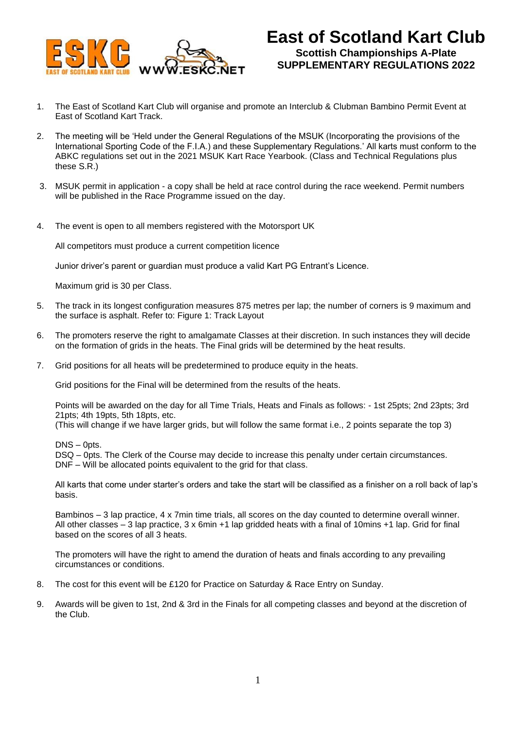

### **East of Scotland Kart Club Scottish Championships A-Plate SUPPLEMENTARY REGULATIONS 2022**

- 1. The East of Scotland Kart Club will organise and promote an Interclub & Clubman Bambino Permit Event at East of Scotland Kart Track.
- 2. The meeting will be 'Held under the General Regulations of the MSUK (Incorporating the provisions of the International Sporting Code of the F.I.A.) and these Supplementary Regulations.' All karts must conform to the ABKC regulations set out in the 2021 MSUK Kart Race Yearbook. (Class and Technical Regulations plus these S.R.)
- 3. MSUK permit in application a copy shall be held at race control during the race weekend. Permit numbers will be published in the Race Programme issued on the day.
- 4. The event is open to all members registered with the Motorsport UK

All competitors must produce a current competition licence

Junior driver's parent or guardian must produce a valid Kart PG Entrant's Licence.

Maximum grid is 30 per Class.

- 5. The track in its longest configuration measures 875 metres per lap; the number of corners is 9 maximum and the surface is asphalt. Refer to: [Figure 1: Track](#page-3-0) Layout
- 6. The promoters reserve the right to amalgamate Classes at their discretion. In such instances they will decide on the formation of grids in the heats. The Final grids will be determined by the heat results.
- 7. Grid positions for all heats will be predetermined to produce equity in the heats.

Grid positions for the Final will be determined from the results of the heats.

Points will be awarded on the day for all Time Trials, Heats and Finals as follows: - 1st 25pts; 2nd 23pts; 3rd 21pts; 4th 19pts, 5th 18pts, etc.

(This will change if we have larger grids, but will follow the same format i.e., 2 points separate the top 3)

DNS – 0pts.

DSQ – 0pts. The Clerk of the Course may decide to increase this penalty under certain circumstances. DNF – Will be allocated points equivalent to the grid for that class.

All karts that come under starter's orders and take the start will be classified as a finisher on a roll back of lap's basis.

Bambinos – 3 lap practice, 4 x 7min time trials, all scores on the day counted to determine overall winner. All other classes – 3 lap practice, 3 x 6min +1 lap gridded heats with a final of 10mins +1 lap. Grid for final based on the scores of all 3 heats.

The promoters will have the right to amend the duration of heats and finals according to any prevailing circumstances or conditions.

- 8. The cost for this event will be £120 for Practice on Saturday & Race Entry on Sunday.
- 9. Awards will be given to 1st, 2nd & 3rd in the Finals for all competing classes and beyond at the discretion of the Club.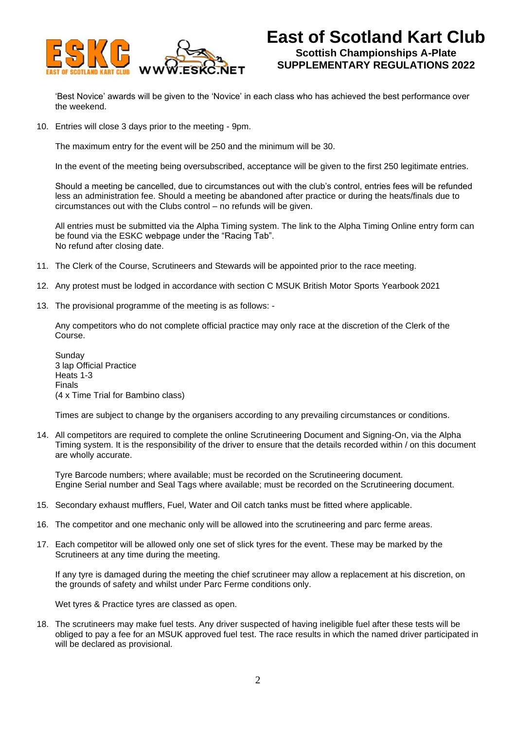

## **East of Scotland Kart Club Scottish Championships A-Plate**

**SUPPLEMENTARY REGULATIONS 2022**

'Best Novice' awards will be given to the 'Novice' in each class who has achieved the best performance over the weekend.

10. Entries will close 3 days prior to the meeting - 9pm.

The maximum entry for the event will be 250 and the minimum will be 30.

In the event of the meeting being oversubscribed, acceptance will be given to the first 250 legitimate entries.

Should a meeting be cancelled, due to circumstances out with the club's control, entries fees will be refunded less an administration fee. Should a meeting be abandoned after practice or during the heats/finals due to circumstances out with the Clubs control – no refunds will be given.

All entries must be submitted via the Alpha Timing system. The link to the Alpha Timing Online entry form can be found via the ESKC webpage under the "Racing Tab". No refund after closing date.

- 11. The Clerk of the Course, Scrutineers and Stewards will be appointed prior to the race meeting.
- 12. Any protest must be lodged in accordance with section C MSUK British Motor Sports Yearbook 2021
- 13. The provisional programme of the meeting is as follows: -

Any competitors who do not complete official practice may only race at the discretion of the Clerk of the Course.

**Sunday** 3 lap Official Practice Heats 1-3 Finals (4 x Time Trial for Bambino class)

Times are subject to change by the organisers according to any prevailing circumstances or conditions.

14. All competitors are required to complete the online Scrutineering Document and Signing-On, via the Alpha Timing system. It is the responsibility of the driver to ensure that the details recorded within / on this document are wholly accurate.

Tyre Barcode numbers; where available; must be recorded on the Scrutineering document. Engine Serial number and Seal Tags where available; must be recorded on the Scrutineering document.

- 15. Secondary exhaust mufflers, Fuel, Water and Oil catch tanks must be fitted where applicable.
- 16. The competitor and one mechanic only will be allowed into the scrutineering and parc ferme areas.
- 17. Each competitor will be allowed only one set of slick tyres for the event. These may be marked by the Scrutineers at any time during the meeting.

If any tyre is damaged during the meeting the chief scrutineer may allow a replacement at his discretion, on the grounds of safety and whilst under Parc Ferme conditions only.

Wet tyres & Practice tyres are classed as open.

18. The scrutineers may make fuel tests. Any driver suspected of having ineligible fuel after these tests will be obliged to pay a fee for an MSUK approved fuel test. The race results in which the named driver participated in will be declared as provisional.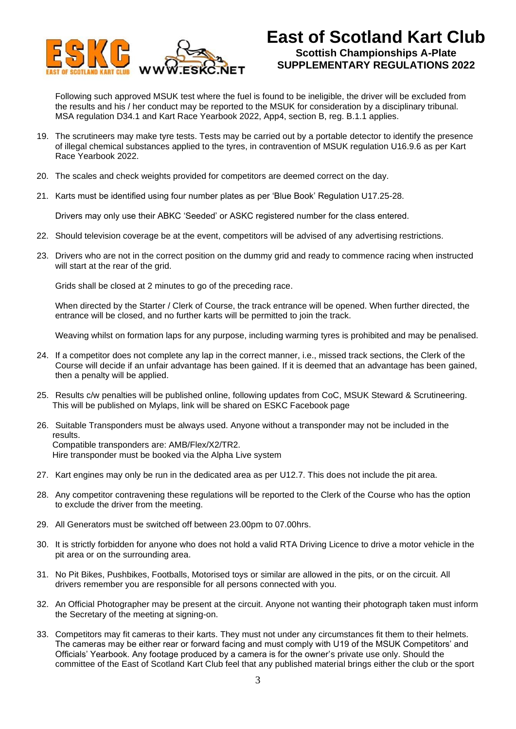

### **East of Scotland Kart Club Scottish Championships A-Plate SUPPLEMENTARY REGULATIONS 2022**

Following such approved MSUK test where the fuel is found to be ineligible, the driver will be excluded from the results and his / her conduct may be reported to the MSUK for consideration by a disciplinary tribunal. MSA regulation D34.1 and Kart Race Yearbook 2022, App4, section B, reg. B.1.1 applies.

- 19. The scrutineers may make tyre tests. Tests may be carried out by a portable detector to identify the presence of illegal chemical substances applied to the tyres, in contravention of MSUK regulation U16.9.6 as per Kart Race Yearbook 2022.
- 20. The scales and check weights provided for competitors are deemed correct on the day.
- 21. Karts must be identified using four number plates as per 'Blue Book' Regulation U17.25-28.

Drivers may only use their ABKC 'Seeded' or ASKC registered number for the class entered.

- 22. Should television coverage be at the event, competitors will be advised of any advertising restrictions.
- 23. Drivers who are not in the correct position on the dummy grid and ready to commence racing when instructed will start at the rear of the grid.

Grids shall be closed at 2 minutes to go of the preceding race.

When directed by the Starter / Clerk of Course, the track entrance will be opened. When further directed, the entrance will be closed, and no further karts will be permitted to join the track.

Weaving whilst on formation laps for any purpose, including warming tyres is prohibited and may be penalised.

- 24. If a competitor does not complete any lap in the correct manner, i.e., missed track sections, the Clerk of the Course will decide if an unfair advantage has been gained. If it is deemed that an advantage has been gained, then a penalty will be applied.
- 25. Results c/w penalties will be published online, following updates from CoC, MSUK Steward & Scrutineering. This will be published on Mylaps, link will be shared on ESKC Facebook page
- 26. Suitable Transponders must be always used. Anyone without a transponder may not be included in the results. Compatible transponders are: AMB/Flex/X2/TR2. Hire transponder must be booked via the Alpha Live system
- 27. Kart engines may only be run in the dedicated area as per U12.7. This does not include the pit area.
- 28. Any competitor contravening these regulations will be reported to the Clerk of the Course who has the option to exclude the driver from the meeting.
- 29. All Generators must be switched off between 23.00pm to 07.00hrs.
- 30. It is strictly forbidden for anyone who does not hold a valid RTA Driving Licence to drive a motor vehicle in the pit area or on the surrounding area.
- 31. No Pit Bikes, Pushbikes, Footballs, Motorised toys or similar are allowed in the pits, or on the circuit. All drivers remember you are responsible for all persons connected with you.
- 32. An Official Photographer may be present at the circuit. Anyone not wanting their photograph taken must inform the Secretary of the meeting at signing-on.
- 33. Competitors may fit cameras to their karts. They must not under any circumstances fit them to their helmets. The cameras may be either rear or forward facing and must comply with U19 of the MSUK Competitors' and Officials' Yearbook. Any footage produced by a camera is for the owner's private use only. Should the committee of the East of Scotland Kart Club feel that any published material brings either the club or the sport